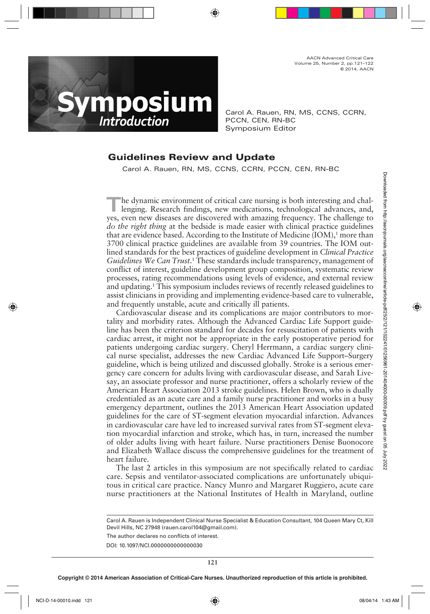AACN Advanced Critical Care Volume 25, Number 2, pp.121–122 © 2014, AACN



Carol A. Rauen, RN, MS, CCNS, CCRN, PCCN, CEN, RN-BC Symposium Editor

## **Guidelines Review and Update**

Carol A. Rauen, RN, MS, CCNS, CCRN, PCCN, CEN, RN-BC

**The dynamic environment of critical care nursing is both interesting and challenging. Research findings, new medications, technological advances, and,** yes, even new diseases are discovered with amazing frequency. The challenge to *do the right thing* at the bedside is made easier with clinical practice guidelines that are evidence based. According to the Institute of Medicine (IOM),<sup>1</sup> more than 3700 clinical practice guidelines are available from 39 countries. The IOM outlined standards for the best practices of guideline development in *Clinical Practice*  Guidelines We Can Trust.<sup>1</sup> These standards include transparency, management of conflict of interest, guideline development group composition, systematic review processes, rating recommendations using levels of evidence, and external review and updating. 1 This symposium includes reviews of recently released guidelines to assist clinicians in providing and implementing evidence-based care to vulnerable, and frequently unstable, acute and critically ill patients.

Cardiovascular disease and its complications are major contributors to mortality and morbidity rates. Although the Advanced Cardiac Life Support guideline has been the criterion standard for decades for resuscitation of patients with cardiac arrest, it might not be appropriate in the early postoperative period for patients undergoing cardiac surgery. Cheryl Herrmann, a cardiac surgery clinical nurse specialist, addresses the new Cardiac Advanced Life Support–Surgery guideline, which is being utilized and discussed globally. Stroke is a serious emergency care concern for adults living with cardiovascular disease, and Sarah Livesay, an associate professor and nurse practitioner, offers a scholarly review of the American Heart Association 2013 stroke guidelines. Helen Brown, who is dually credentialed as an acute care and a family nurse practitioner and works in a busy emergency department, outlines the 2013 American Heart Association updated guidelines for the care of ST-segment elevation myocardial infarction. Advances in cardiovascular care have led to increased survival rates from ST-segment elevation myocardial infarction and stroke, which has, in turn, increased the number of older adults living with heart failure. Nurse practitioners Denise Buonocore and Elizabeth Wallace discuss the comprehensive guidelines for the treatment of heart failure. The dynamic environment of critical care musting is both interesting and chargive equity. The callenga for the environment of the calibratic particle in the case of disconclined from the formation of Modical (DM), move th

The last 2 articles in this symposium are not specifically related to cardiac care. Sepsis and ventilator-associated complications are unfortunately ubiquitous in critical care practice. Nancy Munro and Margaret Ruggiero, acute care nurse practitioners at the National Institutes of Health in Maryland, outline

The author declares no conflicts of interest.

Carol A. Rauen is Independent Clinical Nurse Specialist & Education Consultant, 104 Queen Mary Ct, Kill Devil Hills, NC 27948 (rauen.carol104@gmail.com).

DOI: 10.1097/NCI.0000000000000030